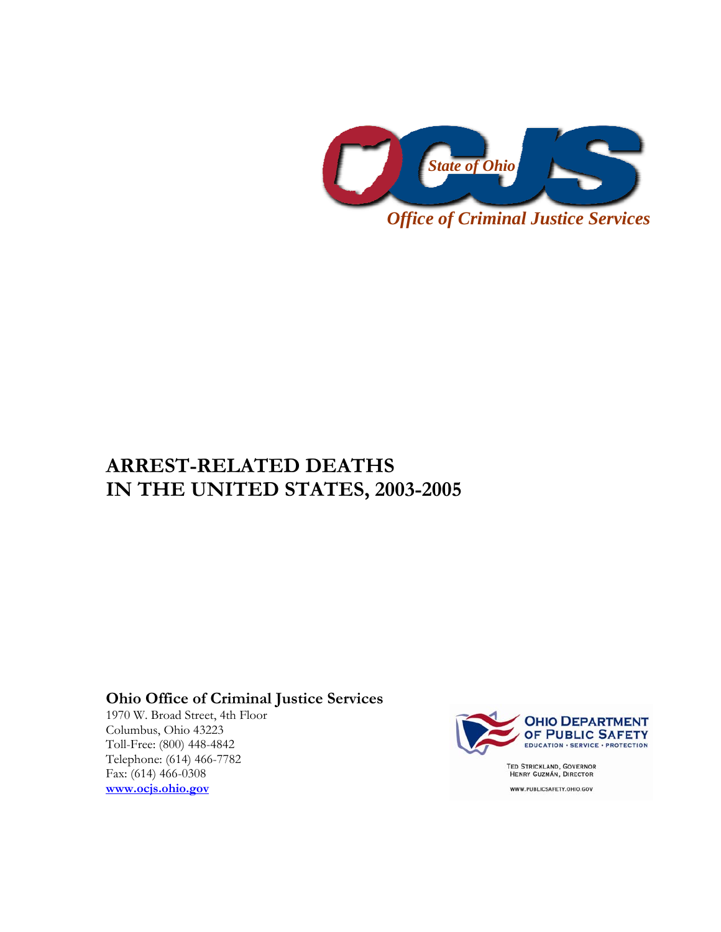

## **ARREST-RELATED DEATHS IN THE UNITED STATES, 2003-2005**

## **Ohio Office of Criminal Justice Services**

1970 W. Broad Street, 4th Floor Columbus, Ohio 43223 Toll-Free: (800) 448-4842 Telephone: (614) 466-7782 Fax: (614) 466-0308 **www.ocjs.ohio.gov**



WWW.PUBLICSAFETY.OHIO.GOV